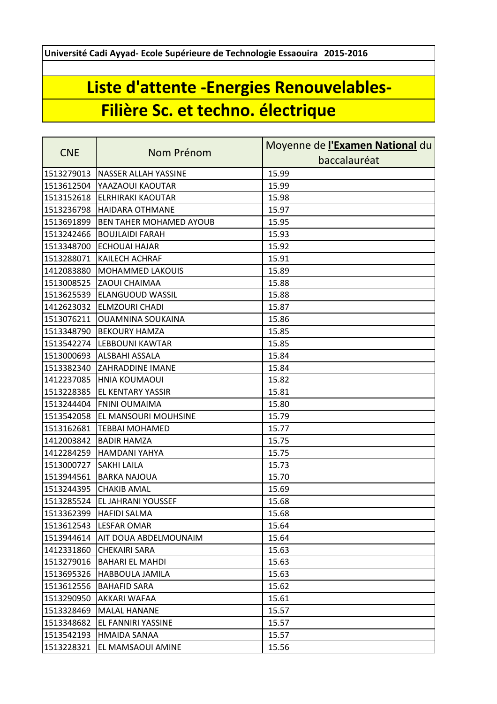**Université Cadi Ayyad- Ecole Supérieure de Technologie Essaouira 2015-2016**

## **Liste d'attente -Energies Renouvelables-Filière Sc. et techno. électrique**

|            |                                | Moyenne de l'Examen National du |
|------------|--------------------------------|---------------------------------|
| <b>CNE</b> | Nom Prénom                     | baccalauréat                    |
| 1513279013 | NASSER ALLAH YASSINE           | 15.99                           |
| 1513612504 | YAAZAOUI KAOUTAR               | 15.99                           |
| 1513152618 | <b>ELRHIRAKI KAOUTAR</b>       | 15.98                           |
| 1513236798 | <b>HAIDARA OTHMANE</b>         | 15.97                           |
| 1513691899 | <b>BEN TAHER MOHAMED AYOUB</b> | 15.95                           |
| 1513242466 | <b>BOUJLAIDI FARAH</b>         | 15.93                           |
| 1513348700 | <b>ECHOUAI HAJAR</b>           | 15.92                           |
| 1513288071 | KAILECH ACHRAF                 | 15.91                           |
| 1412083880 | MOHAMMED LAKOUIS               | 15.89                           |
| 1513008525 | <b>ZAOUI CHAIMAA</b>           | 15.88                           |
| 1513625539 | <b>ELANGUOUD WASSIL</b>        | 15.88                           |
| 1412623032 | <b>ELMZOURI CHADI</b>          | 15.87                           |
| 1513076211 | <b>OUAMNINA SOUKAINA</b>       | 15.86                           |
| 1513348790 | <b>BEKOURY HAMZA</b>           | 15.85                           |
| 1513542274 | <b>LEBBOUNI KAWTAR</b>         | 15.85                           |
| 1513000693 | <b>ALSBAHI ASSALA</b>          | 15.84                           |
| 1513382340 | <b>ZAHRADDINE IMANE</b>        | 15.84                           |
| 1412237085 | <b>HNIA KOUMAOUI</b>           | 15.82                           |
| 1513228385 | <b>EL KENTARY YASSIR</b>       | 15.81                           |
| 1513244404 | <b>FNINI OUMAIMA</b>           | 15.80                           |
| 1513542058 | EL MANSOURI MOUHSINE           | 15.79                           |
| 1513162681 | <b>TEBBAI MOHAMED</b>          | 15.77                           |
| 1412003842 | <b>BADIR HAMZA</b>             | 15.75                           |
| 1412284259 | <b>HAMDANI YAHYA</b>           | 15.75                           |
| 1513000727 | <b>SAKHI LAILA</b>             | 15.73                           |
| 1513944561 | <b>BARKA NAJOUA</b>            | 15.70                           |
|            | 1513244395 CHAKIB AMAL         | 15.69                           |
| 1513285524 | <b>EL JAHRANI YOUSSEF</b>      | 15.68                           |
| 1513362399 | <b>HAFIDI SALMA</b>            | 15.68                           |
| 1513612543 | <b>LESFAR OMAR</b>             | 15.64                           |
| 1513944614 | AIT DOUA ABDELMOUNAIM          | 15.64                           |
| 1412331860 | <b>CHEKAIRI SARA</b>           | 15.63                           |
| 1513279016 | <b>BAHARI EL MAHDI</b>         | 15.63                           |
| 1513695326 | HABBOULA JAMILA                | 15.63                           |
| 1513612556 | <b>BAHAFID SARA</b>            | 15.62                           |
| 1513290950 | AKKARI WAFAA                   | 15.61                           |
| 1513328469 | <b>MALAL HANANE</b>            | 15.57                           |
| 1513348682 | EL FANNIRI YASSINE             | 15.57                           |
| 1513542193 | <b>HMAIDA SANAA</b>            | 15.57                           |
| 1513228321 | EL MAMSAOUI AMINE              | 15.56                           |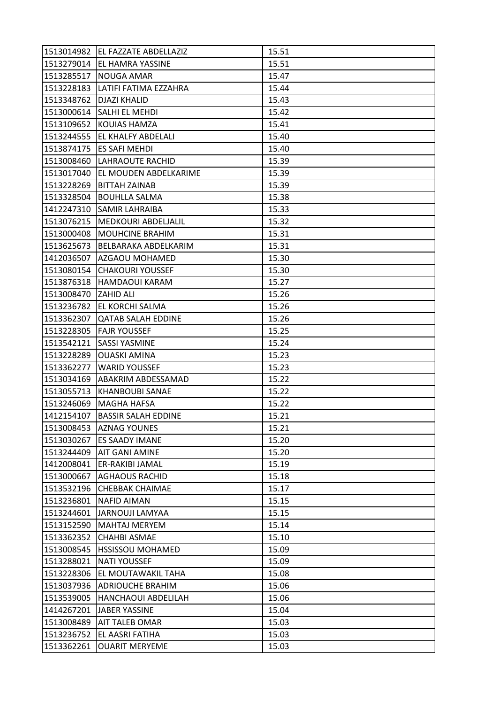|                      | 1513014982   EL FAZZATE ABDELLAZIZ | 15.51 |
|----------------------|------------------------------------|-------|
| 1513279014           | <b>EL HAMRA YASSINE</b>            | 15.51 |
| 1513285517           | <b>NOUGA AMAR</b>                  | 15.47 |
| 1513228183           | LATIFI FATIMA EZZAHRA              | 15.44 |
| 1513348762           | <b>DJAZI KHALID</b>                | 15.43 |
| 1513000614           | <b>SALHI EL MEHDI</b>              | 15.42 |
| 1513109652           | KOUIAS HAMZA                       | 15.41 |
| 1513244555           | EL KHALFY ABDELALI                 | 15.40 |
| 1513874175           | <b>ES SAFI MEHDI</b>               | 15.40 |
| 1513008460           | LAHRAOUTE RACHID                   | 15.39 |
| 1513017040           | EL MOUDEN ABDELKARIME              | 15.39 |
| 1513228269           | BITTAH ZAINAB                      | 15.39 |
| 1513328504           | <b>BOUHLLA SALMA</b>               | 15.38 |
| 1412247310           | <b>SAMIR LAHRAIBA</b>              | 15.33 |
| 1513076215           | MEDKOURI ABDELJALIL                | 15.32 |
| 1513000408           | <b>MOUHCINE BRAHIM</b>             | 15.31 |
| 1513625673           | BELBARAKA ABDELKARIM               | 15.31 |
| 1412036507           | AZGAOU MOHAMED                     | 15.30 |
| 1513080154           | <b>CHAKOURI YOUSSEF</b>            | 15.30 |
| 1513876318           | HAMDAOUI KARAM                     | 15.27 |
| 1513008470 ZAHID ALI |                                    | 15.26 |
| 1513236782           | EL KORCHI SALMA                    | 15.26 |
| 1513362307           | <b>QATAB SALAH EDDINE</b>          | 15.26 |
| 1513228305           | <b>FAJR YOUSSEF</b>                | 15.25 |
| 1513542121           | <b>SASSI YASMINE</b>               | 15.24 |
| 1513228289           | <b>OUASKI AMINA</b>                | 15.23 |
| 1513362277           | <b>WARID YOUSSEF</b>               | 15.23 |
| 1513034169           | ABAKRIM ABDESSAMAD                 | 15.22 |
| 1513055713           | <b>KHANBOUBI SANAE</b>             | 15.22 |
| 1513246069           | <b>MAGHA HAFSA</b>                 | 15.22 |
| 1412154107           | <b>BASSIR SALAH EDDINE</b>         | 15.21 |
|                      | 1513008453 AZNAG YOUNES            | 15.21 |
| 1513030267           | <b>ES SAADY IMANE</b>              | 15.20 |
| 1513244409           | <b>AIT GANI AMINE</b>              | 15.20 |
| 1412008041           | ER-RAKIBI JAMAL                    | 15.19 |
| 1513000667           | <b>AGHAOUS RACHID</b>              | 15.18 |
| 1513532196           | <b>CHEBBAK CHAIMAE</b>             | 15.17 |
| 1513236801           | NAFID AIMAN                        | 15.15 |
| 1513244601           | <b>JARNOUJI LAMYAA</b>             | 15.15 |
| 1513152590           | <b>MAHTAJ MERYEM</b>               | 15.14 |
| 1513362352           | <b>CHAHBI ASMAE</b>                | 15.10 |
| 1513008545           | <b>HSSISSOU MOHAMED</b>            | 15.09 |
| 1513288021           | <b>NATI YOUSSEF</b>                | 15.09 |
| 1513228306           | EL MOUTAWAKIL TAHA                 | 15.08 |
| 1513037936           | <b>ADRIOUCHE BRAHIM</b>            | 15.06 |
| 1513539005           | HANCHAOUI ABDELILAH                | 15.06 |
| 1414267201           | <b>JABER YASSINE</b>               | 15.04 |
| 1513008489           | <b>AIT TALEB OMAR</b>              | 15.03 |
| 1513236752           | EL AASRI FATIHA                    | 15.03 |
| 1513362261           | <b>OUARIT MERYEME</b>              | 15.03 |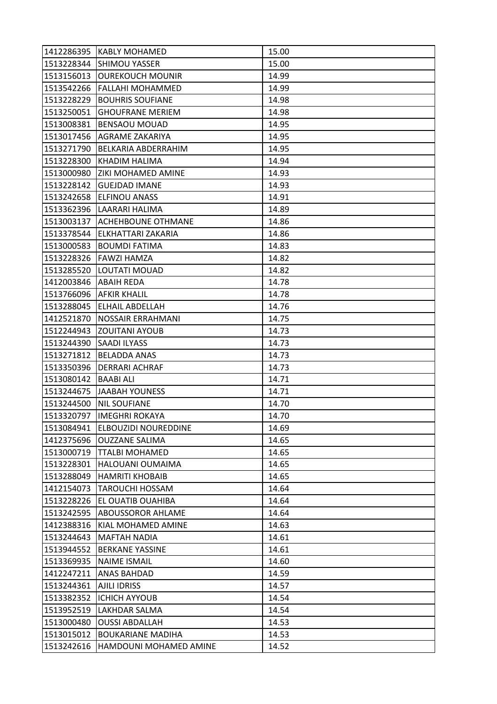|                         | 1412286395   KABLY MOHAMED      | 15.00 |
|-------------------------|---------------------------------|-------|
| 1513228344              | <b>SHIMOU YASSER</b>            | 15.00 |
| 1513156013              | <b>OUREKOUCH MOUNIR</b>         | 14.99 |
| 1513542266              | <b>FALLAHI MOHAMMED</b>         | 14.99 |
| 1513228229              | <b>BOUHRIS SOUFIANE</b>         | 14.98 |
| 1513250051              | <b>GHOUFRANE MERIEM</b>         | 14.98 |
| 1513008381              | <b>BENSAOU MOUAD</b>            | 14.95 |
| 1513017456              | AGRAME ZAKARIYA                 | 14.95 |
| 1513271790              | BELKARIA ABDERRAHIM             | 14.95 |
| 1513228300              | KHADIM HALIMA                   | 14.94 |
| 1513000980              | ZIKI MOHAMED AMINE              | 14.93 |
| 1513228142              | <b>GUEJDAD IMANE</b>            | 14.93 |
| 1513242658              | ELFINOU ANASS                   | 14.91 |
| 1513362396              | LAARARI HALIMA                  | 14.89 |
| 1513003137              | <b>ACHEHBOUNE OTHMANE</b>       | 14.86 |
| 1513378544              | ELKHATTARI ZAKARIA              | 14.86 |
| 1513000583              | <b>BOUMDI FATIMA</b>            | 14.83 |
| 1513228326              | <b>FAWZI HAMZA</b>              | 14.82 |
| 1513285520              | LOUTATI MOUAD                   | 14.82 |
| 1412003846   ABAIH REDA |                                 | 14.78 |
|                         | 1513766096   AFKIR KHALIL       | 14.78 |
| 1513288045              | ELHAIL ABDELLAH                 | 14.76 |
| 1412521870              | NOSSAIR ERRAHMANI               | 14.75 |
| 1512244943              | <b>ZOUITANI AYOUB</b>           | 14.73 |
| 1513244390 SAADI ILYASS |                                 | 14.73 |
| 1513271812              | <b>BELADDA ANAS</b>             | 14.73 |
| 1513350396              | <b>DERRARI ACHRAF</b>           | 14.73 |
| 1513080142              | <b>BAABI ALI</b>                | 14.71 |
| 1513244675              | JAABAH YOUNESS                  | 14.71 |
| 1513244500              | <b>NIL SOUFIANE</b>             | 14.70 |
| 1513320797              | <b>IMEGHRI ROKAYA</b>           | 14.70 |
|                         | 1513084941 ELBOUZIDI NOUREDDINE | 14.69 |
| 1412375696              | <b>OUZZANE SALIMA</b>           | 14.65 |
|                         | 1513000719   TTALBI MOHAMED     | 14.65 |
| 1513228301              | HALOUANI OUMAIMA                | 14.65 |
| 1513288049              | <b>HAMRITI KHOBAIB</b>          | 14.65 |
| 1412154073              | <b>TAROUCHI HOSSAM</b>          | 14.64 |
| 1513228226              | <b>EL OUATIB OUAHIBA</b>        | 14.64 |
| 1513242595              | <b>ABOUSSOROR AHLAME</b>        | 14.64 |
| 1412388316              | KIAL MOHAMED AMINE              | 14.63 |
| 1513244643              | <b>MAFTAH NADIA</b>             | 14.61 |
| 1513944552              | <b>BERKANE YASSINE</b>          | 14.61 |
| 1513369935              | <b>NAIME ISMAIL</b>             | 14.60 |
| 1412247211              | ANAS BAHDAD                     | 14.59 |
| 1513244361              | AJILI IDRISS                    | 14.57 |
| 1513382352              | <b>ICHICH AYYOUB</b>            | 14.54 |
| 1513952519              | LAKHDAR SALMA                   | 14.54 |
| 1513000480              | <b>OUSSI ABDALLAH</b>           | 14.53 |
| 1513015012              | <b>BOUKARIANE MADIHA</b>        | 14.53 |
| 1513242616              | HAMDOUNI MOHAMED AMINE          | 14.52 |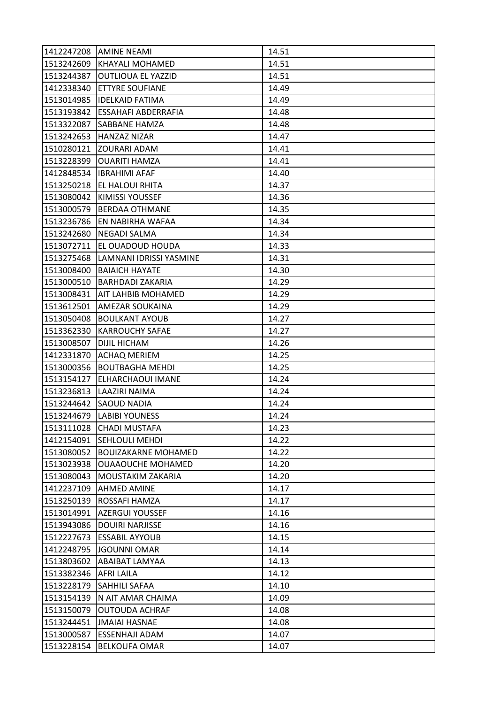|            | 1412247208 AMINE NEAMI     | 14.51 |
|------------|----------------------------|-------|
| 1513242609 | <b>KHAYALI MOHAMED</b>     | 14.51 |
| 1513244387 | <b>OUTLIOUA EL YAZZID</b>  | 14.51 |
| 1412338340 | <b>ETTYRE SOUFIANE</b>     | 14.49 |
| 1513014985 | <b>IDELKAID FATIMA</b>     | 14.49 |
| 1513193842 | ESSAHAFI ABDERRAFIA        | 14.48 |
| 1513322087 | <b>SABBANE HAMZA</b>       | 14.48 |
| 1513242653 | <b>HANZAZ NIZAR</b>        | 14.47 |
| 1510280121 | <b>ZOURARI ADAM</b>        | 14.41 |
| 1513228399 | <b>OUARITI HAMZA</b>       | 14.41 |
| 1412848534 | <b>IBRAHIMI AFAF</b>       | 14.40 |
| 1513250218 | <b>EL HALOUI RHITA</b>     | 14.37 |
| 1513080042 | KIMISSI YOUSSEF            | 14.36 |
| 1513000579 | BERDAA OTHMANE             | 14.35 |
| 1513236786 | EN NABIRHA WAFAA           | 14.34 |
| 1513242680 | <b>NEGADI SALMA</b>        | 14.34 |
| 1513072711 | EL OUADOUD HOUDA           | 14.33 |
| 1513275468 | LAMNANI IDRISSI YASMINE    | 14.31 |
| 1513008400 | <b>BAIAICH HAYATE</b>      | 14.30 |
| 1513000510 | <b>BARHDADI ZAKARIA</b>    | 14.29 |
| 1513008431 | AIT LAHBIB MOHAMED         | 14.29 |
| 1513612501 | AMEZAR SOUKAINA            | 14.29 |
| 1513050408 | <b>BOULKANT AYOUB</b>      | 14.27 |
| 1513362330 | <b>KARROUCHY SAFAE</b>     | 14.27 |
| 1513008507 | DIJIL HICHAM               | 14.26 |
| 1412331870 | <b>ACHAQ MERIEM</b>        | 14.25 |
| 1513000356 | <b>BOUTBAGHA MEHDI</b>     | 14.25 |
| 1513154127 | ELHARCHAOUI IMANE          | 14.24 |
| 1513236813 | LAAZIRI NAIMA              | 14.24 |
| 1513244642 | <b>SAOUD NADIA</b>         | 14.24 |
| 1513244679 | <b>LABIBI YOUNESS</b>      | 14.24 |
|            | 1513111028 CHADI MUSTAFA   | 14.23 |
| 1412154091 | <b>SEHLOULI MEHDI</b>      | 14.22 |
| 1513080052 | <b>BOUIZAKARNE MOHAMED</b> | 14.22 |
| 1513023938 | <b>OUAAOUCHE MOHAMED</b>   | 14.20 |
| 1513080043 | MOUSTAKIM ZAKARIA          | 14.20 |
| 1412237109 | AHMED AMINE                | 14.17 |
| 1513250139 | ROSSAFI HAMZA              | 14.17 |
| 1513014991 | <b>AZERGUI YOUSSEF</b>     | 14.16 |
| 1513943086 | <b>DOUIRI NARJISSE</b>     | 14.16 |
| 1512227673 | <b>ESSABIL AYYOUB</b>      | 14.15 |
| 1412248795 | JGOUNNI OMAR               | 14.14 |
| 1513803602 | ABAIBAT LAMYAA             | 14.13 |
| 1513382346 | AFRI LAILA                 | 14.12 |
| 1513228179 | <b>SAHHILI SAFAA</b>       | 14.10 |
| 1513154139 | N AIT AMAR CHAIMA          | 14.09 |
| 1513150079 | <b>OUTOUDA ACHRAF</b>      | 14.08 |
| 1513244451 | <b>JMAIAI HASNAE</b>       | 14.08 |
| 1513000587 | <b>ESSENHAJI ADAM</b>      | 14.07 |
| 1513228154 | <b>BELKOUFA OMAR</b>       | 14.07 |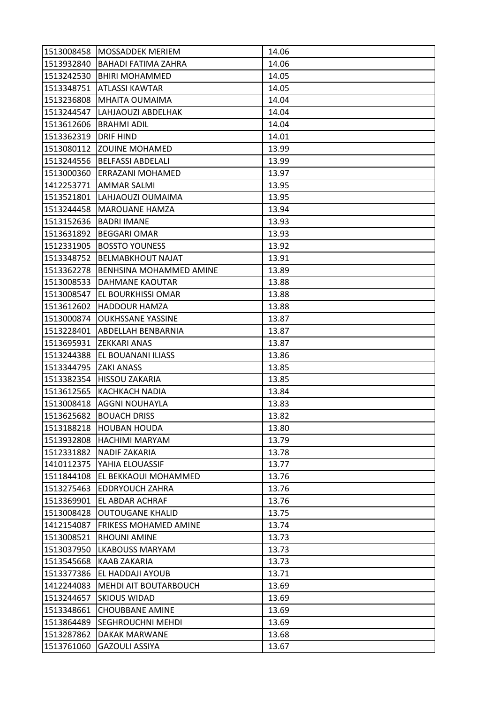| 1513008458 | <b>MOSSADDEK MERIEM</b>      | 14.06 |
|------------|------------------------------|-------|
| 1513932840 | <b>BAHADI FATIMA ZAHRA</b>   | 14.06 |
| 1513242530 | <b>BHIRI MOHAMMED</b>        | 14.05 |
| 1513348751 | <b>ATLASSI KAWTAR</b>        | 14.05 |
| 1513236808 | MHAITA OUMAIMA               | 14.04 |
| 1513244547 | LAHJAOUZI ABDELHAK           | 14.04 |
| 1513612606 | <b>BRAHMI ADIL</b>           | 14.04 |
| 1513362319 | <b>DRIF HIND</b>             | 14.01 |
| 1513080112 | <b>ZOUINE MOHAMED</b>        | 13.99 |
| 1513244556 | <b>BELFASSI ABDELALI</b>     | 13.99 |
| 1513000360 | <b>ERRAZANI MOHAMED</b>      | 13.97 |
| 1412253771 | <b>AMMAR SALMI</b>           | 13.95 |
| 1513521801 | LAHJAOUZI OUMAIMA            | 13.95 |
| 1513244458 | <b>MAROUANE HAMZA</b>        | 13.94 |
| 1513152636 | <b>BADRI IMANE</b>           | 13.93 |
| 1513631892 | <b>BEGGARI OMAR</b>          | 13.93 |
| 1512331905 | <b>BOSSTO YOUNESS</b>        | 13.92 |
| 1513348752 | <b>BELMABKHOUT NAJAT</b>     | 13.91 |
| 1513362278 | BENHSINA MOHAMMED AMINE      | 13.89 |
| 1513008533 | DAHMANE KAOUTAR              | 13.88 |
| 1513008547 | EL BOURKHISSI OMAR           | 13.88 |
| 1513612602 | <b>HADDOUR HAMZA</b>         | 13.88 |
| 1513000874 | <b>OUKHSSANE YASSINE</b>     | 13.87 |
| 1513228401 | ABDELLAH BENBARNIA           | 13.87 |
| 1513695931 | <b>ZEKKARI ANAS</b>          | 13.87 |
| 1513244388 | EL BOUANANI ILIASS           | 13.86 |
| 1513344795 | <b>ZAKI ANASS</b>            | 13.85 |
| 1513382354 | HISSOU ZAKARIA               | 13.85 |
| 1513612565 | <b>KACHKACH NADIA</b>        | 13.84 |
| 1513008418 | <b>AGGNI NOUHAYLA</b>        | 13.83 |
| 1513625682 | <b>BOUACH DRISS</b>          | 13.82 |
| 1513188218 | <b>HOUBAN HOUDA</b>          | 13.80 |
| 1513932808 | <b>HACHIMI MARYAM</b>        | 13.79 |
| 1512331882 | NADIF ZAKARIA                | 13.78 |
| 1410112375 | YAHIA ELOUASSIF              | 13.77 |
| 1511844108 | EL BEKKAOUI MOHAMMED         | 13.76 |
| 1513275463 | <b>EDDRYOUCH ZAHRA</b>       | 13.76 |
| 1513369901 | <b>EL ABDAR ACHRAF</b>       | 13.76 |
| 1513008428 | <b>OUTOUGANE KHALID</b>      | 13.75 |
| 1412154087 | <b>FRIKESS MOHAMED AMINE</b> | 13.74 |
| 1513008521 | <b>RHOUNI AMINE</b>          | 13.73 |
| 1513037950 | <b>LKABOUSS MARYAM</b>       | 13.73 |
| 1513545668 | <b>KAAB ZAKARIA</b>          | 13.73 |
| 1513377386 | EL HADDAJI AYOUB             | 13.71 |
| 1412244083 | MEHDI AIT BOUTARBOUCH        | 13.69 |
| 1513244657 | <b>SKIOUS WIDAD</b>          | 13.69 |
| 1513348661 | <b>CHOUBBANE AMINE</b>       | 13.69 |
| 1513864489 | <b>SEGHROUCHNI MEHDI</b>     | 13.69 |
| 1513287862 | DAKAK MARWANE                | 13.68 |
| 1513761060 | <b>GAZOULI ASSIYA</b>        | 13.67 |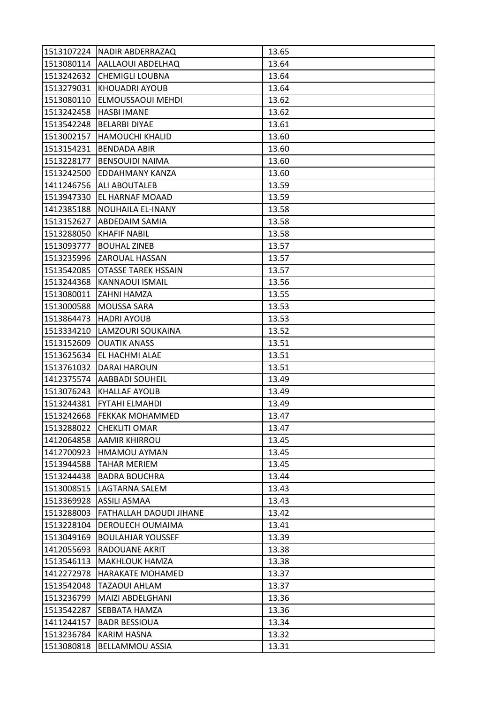| 1513107224 | <b>NADIR ABDERRAZAQ</b>    | 13.65 |
|------------|----------------------------|-------|
| 1513080114 | <b>AALLAOUI ABDELHAQ</b>   | 13.64 |
| 1513242632 | <b>CHEMIGLI LOUBNA</b>     | 13.64 |
| 1513279031 | <b>KHOUADRI AYOUB</b>      | 13.64 |
| 1513080110 | ELMOUSSAOUI MEHDI          | 13.62 |
| 1513242458 | <b>HASBI IMANE</b>         | 13.62 |
| 1513542248 | <b>BELARBI DIYAE</b>       | 13.61 |
| 1513002157 | <b>HAMOUCHI KHALID</b>     | 13.60 |
| 1513154231 | <b>BENDADA ABIR</b>        | 13.60 |
| 1513228177 | <b>BENSOUIDI NAIMA</b>     | 13.60 |
| 1513242500 | EDDAHMANY KANZA            | 13.60 |
| 1411246756 | <b>ALI ABOUTALEB</b>       | 13.59 |
| 1513947330 | EL HARNAF MOAAD            | 13.59 |
| 1412385188 | NOUHAILA EL-INANY          | 13.58 |
| 1513152627 | ABDEDAIM SAMIA             | 13.58 |
| 1513288050 | <b>KHAFIF NABIL</b>        | 13.58 |
| 1513093777 | <b>BOUHAL ZINEB</b>        | 13.57 |
| 1513235996 | <b>ZAROUAL HASSAN</b>      | 13.57 |
| 1513542085 | <b>OTASSE TAREK HSSAIN</b> | 13.57 |
| 1513244368 | KANNAOUI ISMAIL            | 13.56 |
| 1513080011 | ZAHNI HAMZA                | 13.55 |
| 1513000588 | <b>MOUSSA SARA</b>         | 13.53 |
| 1513864473 | <b>HADRI AYOUB</b>         | 13.53 |
| 1513334210 | LAMZOURI SOUKAINA          | 13.52 |
| 1513152609 | <b>OUATIK ANASS</b>        | 13.51 |
| 1513625634 | EL HACHMI ALAE             | 13.51 |
| 1513761032 | DARAI HAROUN               | 13.51 |
| 1412375574 | <b>AABBADI SOUHEIL</b>     | 13.49 |
| 1513076243 | <b>KHALLAF AYOUB</b>       | 13.49 |
| 1513244381 | FYTAHI ELMAHDI             | 13.49 |
| 1513242668 | <b>FEKKAK MOHAMMED</b>     | 13.47 |
| 1513288022 | <b>CHEKLITI OMAR</b>       | 13.47 |
| 1412064858 | <b>AAMIR KHIRROU</b>       | 13.45 |
| 1412700923 | HMAMOU AYMAN               | 13.45 |
| 1513944588 | <b>TAHAR MERIEM</b>        | 13.45 |
| 1513244438 | <b>BADRA BOUCHRA</b>       | 13.44 |
| 1513008515 | LAGTARNA SALEM             | 13.43 |
| 1513369928 | <b>ASSILI ASMAA</b>        | 13.43 |
| 1513288003 | FATHALLAH DAOUDI JIHANE    | 13.42 |
| 1513228104 | DEROUECH OUMAIMA           | 13.41 |
| 1513049169 | <b>BOULAHJAR YOUSSEF</b>   | 13.39 |
| 1412055693 | RADOUANE AKRIT             | 13.38 |
| 1513546113 | <b>MAKHLOUK HAMZA</b>      | 13.38 |
| 1412272978 | HARAKATE MOHAMED           | 13.37 |
| 1513542048 | <b>TAZAOUI AHLAM</b>       | 13.37 |
| 1513236799 | MAIZI ABDELGHANI           | 13.36 |
| 1513542287 | <b>SEBBATA HAMZA</b>       | 13.36 |
| 1411244157 | <b>BADR BESSIOUA</b>       | 13.34 |
| 1513236784 | <b>KARIM HASNA</b>         | 13.32 |
| 1513080818 | <b>BELLAMMOU ASSIA</b>     | 13.31 |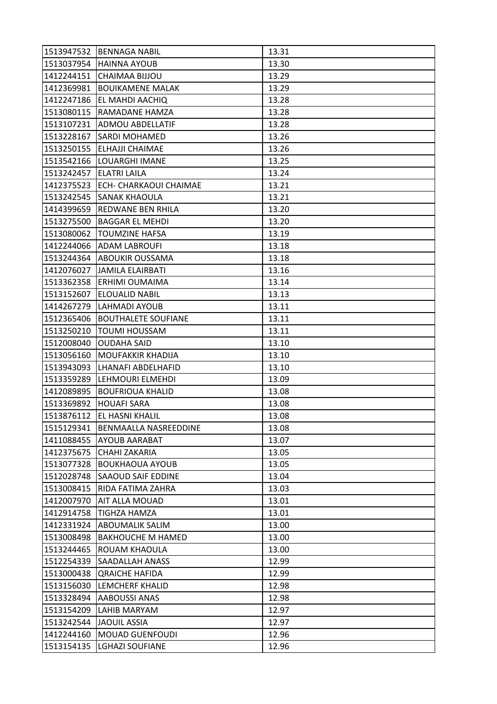| 1513947532 | <b>BENNAGA NABIL</b>          | 13.31 |
|------------|-------------------------------|-------|
| 1513037954 | <b>HAINNA AYOUB</b>           | 13.30 |
| 1412244151 | CHAIMAA BIJJOU                | 13.29 |
| 1412369981 | <b>BOUIKAMENE MALAK</b>       | 13.29 |
| 1412247186 | <b>EL MAHDI AACHIQ</b>        | 13.28 |
| 1513080115 | RAMADANE HAMZA                | 13.28 |
| 1513107231 | <b>ADMOU ABDELLATIF</b>       | 13.28 |
| 1513228167 | SARDI MOHAMED                 | 13.26 |
| 1513250155 | ELHAJJI CHAIMAE               | 13.26 |
| 1513542166 | LOUARGHI IMANE                | 13.25 |
| 1513242457 | <b>ELATRI LAILA</b>           | 13.24 |
| 1412375523 | <b>ECH- CHARKAOUI CHAIMAE</b> | 13.21 |
| 1513242545 | SANAK KHAOULA                 | 13.21 |
| 1414399659 | REDWANE BEN RHILA             | 13.20 |
| 1513275500 | <b>BAGGAR EL MEHDI</b>        | 13.20 |
| 1513080062 | <b>TOUMZINE HAFSA</b>         | 13.19 |
| 1412244066 | ADAM LABROUFI                 | 13.18 |
| 1513244364 | <b>ABOUKIR OUSSAMA</b>        | 13.18 |
| 1412076027 | <b>JAMILA ELAIRBATI</b>       | 13.16 |
| 1513362358 | ERHIMI OUMAIMA                | 13.14 |
| 1513152607 | <b>ELOUALID NABIL</b>         | 13.13 |
| 1414267279 | LAHMADI AYOUB                 | 13.11 |
| 1512365406 | <b>BOUTHALETE SOUFIANE</b>    | 13.11 |
| 1513250210 | <b>TOUMI HOUSSAM</b>          | 13.11 |
| 1512008040 | <b>OUDAHA SAID</b>            | 13.10 |
| 1513056160 | <b>MOUFAKKIR KHADIJA</b>      | 13.10 |
| 1513943093 | LHANAFI ABDELHAFID            | 13.10 |
| 1513359289 | LEHMOURI ELMEHDI              | 13.09 |
| 1412089895 | <b>BOUFRIOUA KHALID</b>       | 13.08 |
| 1513369892 | <b>HOUAFI SARA</b>            | 13.08 |
| 1513876112 | <b>EL HASNI KHALIL</b>        | 13.08 |
| 1515129341 | BENMAALLA NASREEDDINE         | 13.08 |
| 1411088455 | AYOUB AARABAT                 | 13.07 |
| 1412375675 | CHAHI ZAKARIA                 | 13.05 |
| 1513077328 | <b>BOUKHAOUA AYOUB</b>        | 13.05 |
| 1512028748 | <b>SAAOUD SAIF EDDINE</b>     | 13.04 |
| 1513008415 | RIDA FATIMA ZAHRA             | 13.03 |
| 1412007970 | <b>AIT ALLA MOUAD</b>         | 13.01 |
| 1412914758 | <b>TIGHZA HAMZA</b>           | 13.01 |
| 1412331924 | <b>ABOUMALIK SALIM</b>        | 13.00 |
| 1513008498 | <b>BAKHOUCHE M HAMED</b>      | 13.00 |
| 1513244465 | ROUAM KHAOULA                 | 13.00 |
| 1512254339 | <b>SAADALLAH ANASS</b>        | 12.99 |
| 1513000438 | <b>QRAICHE HAFIDA</b>         | 12.99 |
| 1513156030 | <b>LEMCHERF KHALID</b>        | 12.98 |
| 1513328494 | AABOUSSI ANAS                 | 12.98 |
| 1513154209 | LAHIB MARYAM                  | 12.97 |
| 1513242544 | <b>JAOUIL ASSIA</b>           | 12.97 |
| 1412244160 | <b>MOUAD GUENFOUDI</b>        | 12.96 |
| 1513154135 | <b>LGHAZI SOUFIANE</b>        | 12.96 |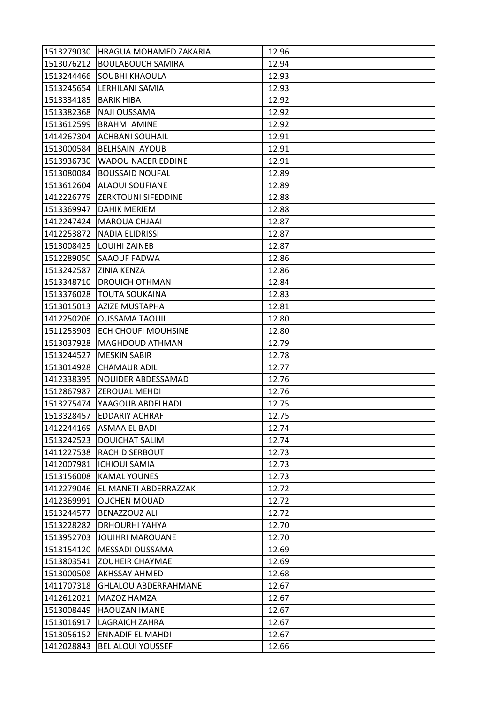|            | 1513279030 HRAGUA MOHAMED ZAKARIA | 12.96 |
|------------|-----------------------------------|-------|
|            | 1513076212 BOULABOUCH SAMIRA      | 12.94 |
| 1513244466 | SOUBHI KHAOULA                    | 12.93 |
| 1513245654 | LERHILANI SAMIA                   | 12.93 |
| 1513334185 | <b>BARIK HIBA</b>                 | 12.92 |
| 1513382368 | NAJI OUSSAMA                      | 12.92 |
| 1513612599 | <b>BRAHMI AMINE</b>               | 12.92 |
| 1414267304 | <b>ACHBANI SOUHAIL</b>            | 12.91 |
| 1513000584 | <b>BELHSAINI AYOUB</b>            | 12.91 |
| 1513936730 | <b>WADOU NACER EDDINE</b>         | 12.91 |
| 1513080084 | <b>BOUSSAID NOUFAL</b>            | 12.89 |
| 1513612604 | ALAOUI SOUFIANE                   | 12.89 |
|            | 1412226779  ZERKTOUNI SIFEDDINE   | 12.88 |
|            | 1513369947   DAHIK MERIEM         | 12.88 |
| 1412247424 | <b>MAROUA CHJAAI</b>              | 12.87 |
|            | 1412253872  NADIA ELIDRISSI       | 12.87 |
|            | 1513008425 LOUIHI ZAINEB          | 12.87 |
| 1512289050 | <b>SAAOUF FADWA</b>               | 12.86 |
| 1513242587 | <b>ZINIA KENZA</b>                | 12.86 |
| 1513348710 | <b>DROUICH OTHMAN</b>             | 12.84 |
| 1513376028 | <b>TOUTA SOUKAINA</b>             | 12.83 |
| 1513015013 | <b>AZIZE MUSTAPHA</b>             | 12.81 |
| 1412250206 | <b>OUSSAMA TAOUIL</b>             | 12.80 |
| 1511253903 | ECH CHOUFI MOUHSINE               | 12.80 |
| 1513037928 | <b>MAGHDOUD ATHMAN</b>            | 12.79 |
| 1513244527 | <b>MESKIN SABIR</b>               | 12.78 |
| 1513014928 | <b>CHAMAUR ADIL</b>               | 12.77 |
| 1412338395 | NOUIDER ABDESSAMAD                | 12.76 |
| 1512867987 | IZEROUAL MEHDI                    | 12.76 |
| 1513275474 | YAAGOUB ABDELHADI                 | 12.75 |
| 1513328457 | <b>EDDARIY ACHRAF</b>             | 12.75 |
|            | 1412244169 ASMAA EL BADI          | 12.74 |
|            | 1513242523  DOUICHAT SALIM        | 12.74 |
|            | 1411227538 RACHID SERBOUT         | 12.73 |
| 1412007981 | <b>ICHIOUI SAMIA</b>              | 12.73 |
| 1513156008 | KAMAL YOUNES                      | 12.73 |
| 1412279046 | <b>EL MANETI ABDERRAZZAK</b>      | 12.72 |
| 1412369991 | <b>OUCHEN MOUAD</b>               | 12.72 |
| 1513244577 | BENAZZOUZ ALI                     | 12.72 |
| 1513228282 | <b>DRHOURHI YAHYA</b>             | 12.70 |
| 1513952703 | JOUIHRI MAROUANE                  | 12.70 |
| 1513154120 | MESSADI OUSSAMA                   | 12.69 |
| 1513803541 | <b>ZOUHEIR CHAYMAE</b>            | 12.69 |
| 1513000508 | <b>AKHSSAY AHMED</b>              | 12.68 |
| 1411707318 | <b>GHLALOU ABDERRAHMANE</b>       | 12.67 |
| 1412612021 | MAZOZ HAMZA                       | 12.67 |
| 1513008449 | <b>HAOUZAN IMANE</b>              | 12.67 |
| 1513016917 | LAGRAICH ZAHRA                    | 12.67 |
| 1513056152 | <b>ENNADIF EL MAHDI</b>           | 12.67 |
| 1412028843 | <b>BEL ALOUI YOUSSEF</b>          | 12.66 |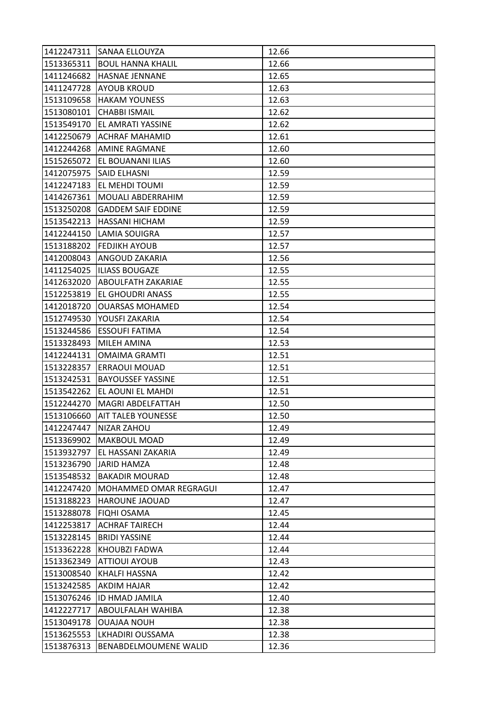| 1412247311 | <b>SANAA ELLOUYZA</b>     | 12.66 |
|------------|---------------------------|-------|
| 1513365311 | <b>BOUL HANNA KHALIL</b>  | 12.66 |
| 1411246682 | <b>HASNAE JENNANE</b>     | 12.65 |
| 1411247728 | <b>AYOUB KROUD</b>        | 12.63 |
| 1513109658 | <b>HAKAM YOUNESS</b>      | 12.63 |
| 1513080101 | <b>CHABBI ISMAIL</b>      | 12.62 |
| 1513549170 | EL AMRATI YASSINE         | 12.62 |
| 1412250679 | <b>ACHRAF MAHAMID</b>     | 12.61 |
| 1412244268 | <b>AMINE RAGMANE</b>      | 12.60 |
| 1515265072 | EL BOUANANI ILIAS         | 12.60 |
| 1412075975 | <b>SAID ELHASNI</b>       | 12.59 |
| 1412247183 | <b>EL MEHDI TOUMI</b>     | 12.59 |
| 1414267361 | <b>MOUALI ABDERRAHIM</b>  | 12.59 |
| 1513250208 | <b>GADDEM SAIF EDDINE</b> | 12.59 |
| 1513542213 | <b>HASSANI HICHAM</b>     | 12.59 |
| 1412244150 | LAMIA SOUIGRA             | 12.57 |
| 1513188202 | <b>FEDJIKH AYOUB</b>      | 12.57 |
| 1412008043 | ANGOUD ZAKARIA            | 12.56 |
| 1411254025 | <b>ILIASS BOUGAZE</b>     | 12.55 |
| 1412632020 | ABOULFATH ZAKARIAE        | 12.55 |
| 1512253819 | EL GHOUDRI ANASS          | 12.55 |
| 1412018720 | <b>OUARSAS MOHAMED</b>    | 12.54 |
| 1512749530 | YOUSFI ZAKARIA            | 12.54 |
| 1513244586 | ESSOUFI FATIMA            | 12.54 |
| 1513328493 | MILEH AMINA               | 12.53 |
| 1412244131 | <b>OMAIMA GRAMTI</b>      | 12.51 |
| 1513228357 | ERRAOUI MOUAD             | 12.51 |
| 1513242531 | <b>BAYOUSSEF YASSINE</b>  | 12.51 |
| 1513542262 | EL AOUNI EL MAHDI         | 12.51 |
| 1512244270 | MAGRI ABDELFATTAH         | 12.50 |
| 1513106660 | <b>AIT TALEB YOUNESSE</b> | 12.50 |
|            | 1412247447   NIZAR ZAHOU  | 12.49 |
| 1513369902 | <b>MAKBOUL MOAD</b>       | 12.49 |
| 1513932797 | EL HASSANI ZAKARIA        | 12.49 |
| 1513236790 | <b>JARID HAMZA</b>        | 12.48 |
| 1513548532 | <b>BAKADIR MOURAD</b>     | 12.48 |
| 1412247420 | MOHAMMED OMAR REGRAGUI    | 12.47 |
| 1513188223 | <b>HAROUNE JAOUAD</b>     | 12.47 |
| 1513288078 | <b>FIQHI OSAMA</b>        | 12.45 |
| 1412253817 | <b>ACHRAF TAIRECH</b>     | 12.44 |
| 1513228145 | <b>BRIDI YASSINE</b>      | 12.44 |
| 1513362228 | KHOUBZI FADWA             | 12.44 |
| 1513362349 | <b>ATTIOUI AYOUB</b>      | 12.43 |
| 1513008540 | <b>KHALFI HASSNA</b>      | 12.42 |
| 1513242585 | <b>AKDIM HAJAR</b>        | 12.42 |
| 1513076246 | ID HMAD JAMILA            | 12.40 |
| 1412227717 | <b>ABOULFALAH WAHIBA</b>  | 12.38 |
| 1513049178 | <b>OUAJAA NOUH</b>        | 12.38 |
| 1513625553 | LKHADIRI OUSSAMA          | 12.38 |
| 1513876313 | BENABDELMOUMENE WALID     | 12.36 |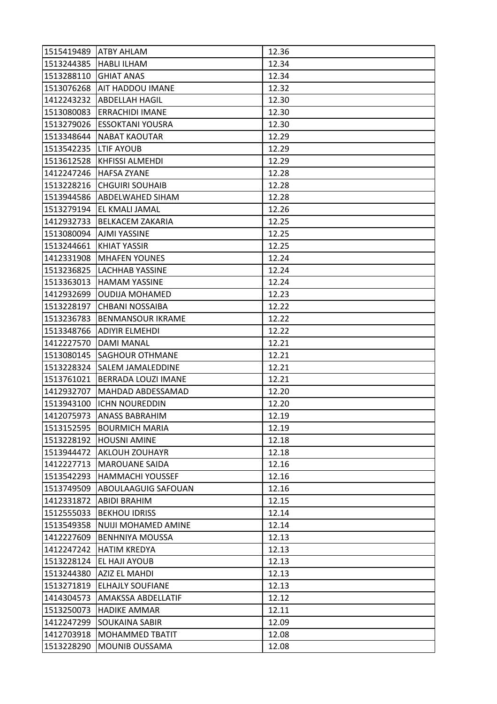| 1515419489 ATBY AHLAM |                           | 12.36 |
|-----------------------|---------------------------|-------|
| 1513244385            | <b>HABLI ILHAM</b>        | 12.34 |
| 1513288110            | <b>GHIAT ANAS</b>         | 12.34 |
| 1513076268            | AIT HADDOU IMANE          | 12.32 |
| 1412243232            | <b>ABDELLAH HAGIL</b>     | 12.30 |
| 1513080083            | <b>ERRACHIDI IMANE</b>    | 12.30 |
| 1513279026            | <b>ESSOKTANI YOUSRA</b>   | 12.30 |
| 1513348644            | <b>NABAT KAOUTAR</b>      | 12.29 |
| 1513542235            | <b>LTIF AYOUB</b>         | 12.29 |
| 1513612528            | <b>KHFISSI ALMEHDI</b>    | 12.29 |
| 1412247246            | <b>HAFSA ZYANE</b>        | 12.28 |
| 1513228216            | <b>CHGUIRI SOUHAIB</b>    | 12.28 |
| 1513944586            | ABDELWAHED SIHAM          | 12.28 |
| 1513279194            | EL KMALI JAMAL            | 12.26 |
| 1412932733            | <b>BELKACEM ZAKARIA</b>   | 12.25 |
| 1513080094            | <b>AJMI YASSINE</b>       | 12.25 |
| 1513244661            | <b>KHIAT YASSIR</b>       | 12.25 |
| 1412331908            | <b>MHAFEN YOUNES</b>      | 12.24 |
| 1513236825            | <b>LACHHAB YASSINE</b>    | 12.24 |
| 1513363013            | <b>HAMAM YASSINE</b>      | 12.24 |
| 1412932699            | <b>OUDIJA MOHAMED</b>     | 12.23 |
| 1513228197            | <b>CHBANI NOSSAIBA</b>    | 12.22 |
| 1513236783            | <b>BENMANSOUR IKRAME</b>  | 12.22 |
| 1513348766            | <b>ADIYIR ELMEHDI</b>     | 12.22 |
| 1412227570            | DAMI MANAL                | 12.21 |
| 1513080145            | <b>SAGHOUR OTHMANE</b>    | 12.21 |
| 1513228324            | SALEM JAMALEDDINE         | 12.21 |
| 1513761021            | BERRADA LOUZI IMANE       | 12.21 |
| 1412932707            | MAHDAD ABDESSAMAD         | 12.20 |
| 1513943100            | <b>ICHN NOUREDDIN</b>     | 12.20 |
| 1412075973            | ANASS BABRAHIM            | 12.19 |
|                       | 1513152595 BOURMICH MARIA | 12.19 |
| 1513228192            | <b>HOUSNI AMINE</b>       | 12.18 |
| 1513944472            | <b>AKLOUH ZOUHAYR</b>     | 12.18 |
| 1412227713            | <b>MAROUANE SAIDA</b>     | 12.16 |
| 1513542293            | <b>HAMMACHI YOUSSEF</b>   | 12.16 |
| 1513749509            | ABOULAAGUIG SAFOUAN       | 12.16 |
| 1412331872            | <b>ABIDI BRAHIM</b>       | 12.15 |
| 1512555033            | <b>BEKHOU IDRISS</b>      | 12.14 |
| 1513549358            | NUIJI MOHAMED AMINE       | 12.14 |
| 1412227609            | <b>BENHNIYA MOUSSA</b>    | 12.13 |
| 1412247242            | <b>HATIM KREDYA</b>       | 12.13 |
| 1513228124            | <b>EL HAJI AYOUB</b>      | 12.13 |
| 1513244380            | AZIZ EL MAHDI             | 12.13 |
| 1513271819            | <b>ELHAJLY SOUFIANE</b>   | 12.13 |
| 1414304573            | AMAKSSA ABDELLATIF        | 12.12 |
| 1513250073            | <b>HADIKE AMMAR</b>       | 12.11 |
| 1412247299            | <b>SOUKAINA SABIR</b>     | 12.09 |
| 1412703918            | MOHAMMED TBATIT           | 12.08 |
| 1513228290            | MOUNIB OUSSAMA            | 12.08 |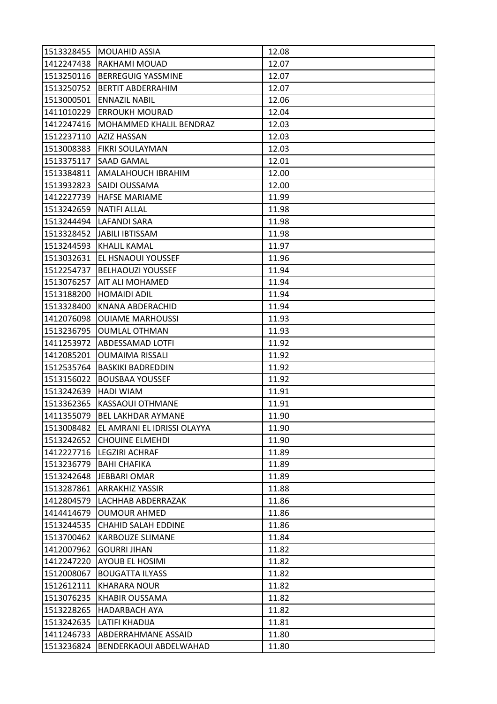| 1513328455 | <b>MOUAHID ASSIA</b>        | 12.08 |
|------------|-----------------------------|-------|
| 1412247438 | RAKHAMI MOUAD               | 12.07 |
| 1513250116 | <b>BERREGUIG YASSMINE</b>   | 12.07 |
| 1513250752 | <b>BERTIT ABDERRAHIM</b>    | 12.07 |
| 1513000501 | <b>ENNAZIL NABIL</b>        | 12.06 |
| 1411010229 | <b>ERROUKH MOURAD</b>       | 12.04 |
| 1412247416 | MOHAMMED KHALIL BENDRAZ     | 12.03 |
| 1512237110 | AZIZ HASSAN                 | 12.03 |
| 1513008383 | FIKRI SOULAYMAN             | 12.03 |
| 1513375117 | <b>SAAD GAMAL</b>           | 12.01 |
| 1513384811 | AMALAHOUCH IBRAHIM          | 12.00 |
| 1513932823 | SAIDI OUSSAMA               | 12.00 |
| 1412227739 | <b>HAFSE MARIAME</b>        | 11.99 |
| 1513242659 | <b>NATIFI ALLAL</b>         | 11.98 |
| 1513244494 | <b>LAFANDI SARA</b>         | 11.98 |
| 1513328452 | JABILI IBTISSAM             | 11.98 |
| 1513244593 | <b>KHALIL KAMAL</b>         | 11.97 |
| 1513032631 | EL HSNAOUI YOUSSEF          | 11.96 |
| 1512254737 | <b>BELHAOUZI YOUSSEF</b>    | 11.94 |
| 1513076257 | AIT ALI MOHAMED             | 11.94 |
| 1513188200 | <b>HOMAIDI ADIL</b>         | 11.94 |
| 1513328400 | KNANA ABDERACHID            | 11.94 |
| 1412076098 | <b>OUIAME MARHOUSSI</b>     | 11.93 |
| 1513236795 | <b>OUMLAL OTHMAN</b>        | 11.93 |
| 1411253972 | ABDESSAMAD LOTFI            | 11.92 |
| 1412085201 | <b>OUMAIMA RISSALI</b>      | 11.92 |
| 1512535764 | <b>BASKIKI BADREDDIN</b>    | 11.92 |
| 1513156022 | <b>BOUSBAA YOUSSEF</b>      | 11.92 |
| 1513242639 | <b>HADI WIAM</b>            | 11.91 |
| 1513362365 | KASSAOUI OTHMANE            | 11.91 |
| 1411355079 | <b>BEL LAKHDAR AYMANE</b>   | 11.90 |
| 1513008482 | EL AMRANI EL IDRISSI OLAYYA | 11.90 |
| 1513242652 | <b>CHOUINE ELMEHDI</b>      | 11.90 |
| 1412227716 | <b>LEGZIRI ACHRAF</b>       | 11.89 |
| 1513236779 | <b>BAHI CHAFIKA</b>         | 11.89 |
| 1513242648 | <b>JEBBARI OMAR</b>         | 11.89 |
| 1513287861 | <b>ARRAKHIZ YASSIR</b>      | 11.88 |
| 1412804579 | LACHHAB ABDERRAZAK          | 11.86 |
| 1414414679 | <b>OUMOUR AHMED</b>         | 11.86 |
| 1513244535 | <b>CHAHID SALAH EDDINE</b>  | 11.86 |
| 1513700462 | KARBOUZE SLIMANE            | 11.84 |
| 1412007962 | <b>GOURRI JIHAN</b>         | 11.82 |
| 1412247220 | AYOUB EL HOSIMI             | 11.82 |
| 1512008067 | <b>BOUGATTA ILYASS</b>      | 11.82 |
| 1512612111 | <b>KHARARA NOUR</b>         | 11.82 |
| 1513076235 | KHABIR OUSSAMA              | 11.82 |
| 1513228265 | HADARBACH AYA               | 11.82 |
| 1513242635 | LATIFI KHADIJA              | 11.81 |
| 1411246733 | ABDERRAHMANE ASSAID         | 11.80 |
| 1513236824 | BENDERKAOUI ABDELWAHAD      | 11.80 |
|            |                             |       |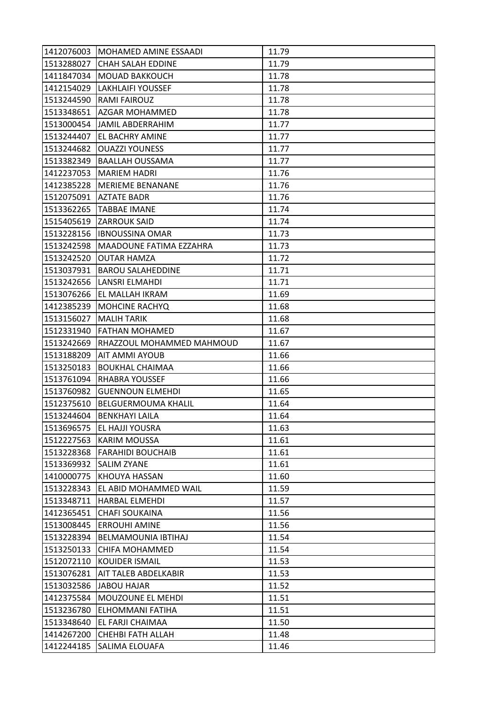| 1412076003 | MOHAMED AMINE ESSAADI       | 11.79 |
|------------|-----------------------------|-------|
| 1513288027 | <b>CHAH SALAH EDDINE</b>    | 11.79 |
| 1411847034 | <b>MOUAD BAKKOUCH</b>       | 11.78 |
| 1412154029 | <b>LAKHLAIFI YOUSSEF</b>    | 11.78 |
| 1513244590 | <b>RAMI FAIROUZ</b>         | 11.78 |
| 1513348651 | <b>AZGAR MOHAMMED</b>       | 11.78 |
|            | 1513000454 JAMIL ABDERRAHIM | 11.77 |
| 1513244407 | EL BACHRY AMINE             | 11.77 |
| 1513244682 | <b>OUAZZI YOUNESS</b>       | 11.77 |
| 1513382349 | <b>BAALLAH OUSSAMA</b>      | 11.77 |
| 1412237053 | <b>MARIEM HADRI</b>         | 11.76 |
| 1412385228 | <b>MERIEME BENANANE</b>     | 11.76 |
| 1512075091 | <b>AZTATE BADR</b>          | 11.76 |
| 1513362265 | <b>TABBAE IMANE</b>         | 11.74 |
| 1515405619 | <b>ZARROUK SAID</b>         | 11.74 |
| 1513228156 | <b>IBNOUSSINA OMAR</b>      | 11.73 |
| 1513242598 | MAADOUNE FATIMA EZZAHRA     | 11.73 |
| 1513242520 | <b>OUTAR HAMZA</b>          | 11.72 |
| 1513037931 | <b>BAROU SALAHEDDINE</b>    | 11.71 |
| 1513242656 | LANSRI ELMAHDI              | 11.71 |
| 1513076266 | EL MALLAH IKRAM             | 11.69 |
| 1412385239 | <b>MOHCINE RACHYQ</b>       | 11.68 |
| 1513156027 | <b>MALIH TARIK</b>          | 11.68 |
| 1512331940 | <b>FATHAN MOHAMED</b>       | 11.67 |
| 1513242669 | RHAZZOUL MOHAMMED MAHMOUD   | 11.67 |
| 1513188209 | <b>AIT AMMI AYOUB</b>       | 11.66 |
| 1513250183 | <b>BOUKHAL CHAIMAA</b>      | 11.66 |
| 1513761094 | <b>RHABRA YOUSSEF</b>       | 11.66 |
| 1513760982 | <b>GUENNOUN ELMEHDI</b>     | 11.65 |
| 1512375610 | BELGUERMOUMA KHALIL         | 11.64 |
| 1513244604 | <b>BENKHAYI LAILA</b>       | 11.64 |
|            | 1513696575 EL HAJJI YOUSRA  | 11.63 |
| 1512227563 | <b>KARIM MOUSSA</b>         | 11.61 |
| 1513228368 | <b>FARAHIDI BOUCHAIB</b>    | 11.61 |
| 1513369932 | <b>SALIM ZYANE</b>          | 11.61 |
| 1410000775 | KHOUYA HASSAN               | 11.60 |
| 1513228343 | EL ABID MOHAMMED WAIL       | 11.59 |
| 1513348711 | <b>HARBAL ELMEHDI</b>       | 11.57 |
| 1412365451 | <b>CHAFI SOUKAINA</b>       | 11.56 |
| 1513008445 | <b>ERROUHI AMINE</b>        | 11.56 |
| 1513228394 | BELMAMOUNIA IBTIHAJ         | 11.54 |
| 1513250133 | <b>CHIFA MOHAMMED</b>       | 11.54 |
| 1512072110 | KOUIDER ISMAIL              | 11.53 |
| 1513076281 | AIT TALEB ABDELKABIR        | 11.53 |
| 1513032586 | JABOU HAJAR                 | 11.52 |
| 1412375584 | MOUZOUNE EL MEHDI           | 11.51 |
| 1513236780 | ELHOMMANI FATIHA            | 11.51 |
| 1513348640 | EL FARJI CHAIMAA            | 11.50 |
| 1414267200 | <b>CHEHBI FATH ALLAH</b>    | 11.48 |
| 1412244185 | SALIMA ELOUAFA              | 11.46 |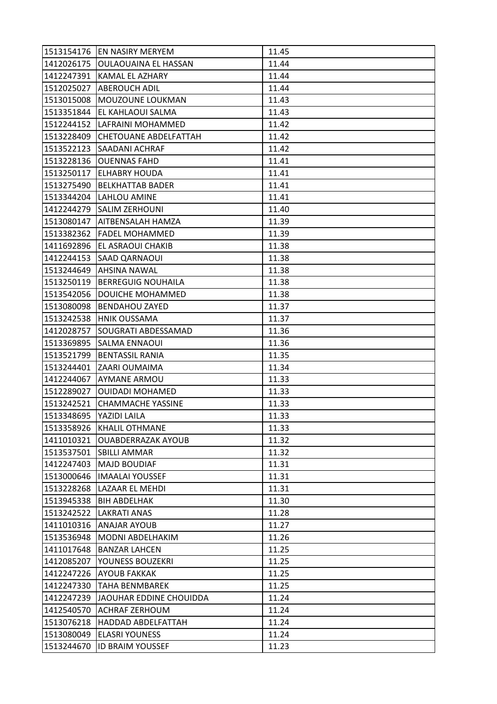| 1513154176 | EN NASIRY MERYEM             | 11.45 |
|------------|------------------------------|-------|
| 1412026175 | <b>OULAOUAINA EL HASSAN</b>  | 11.44 |
| 1412247391 | KAMAL EL AZHARY              | 11.44 |
| 1512025027 | <b>ABEROUCH ADIL</b>         | 11.44 |
| 1513015008 | MOUZOUNE LOUKMAN             | 11.43 |
| 1513351844 | EL KAHLAOUI SALMA            | 11.43 |
| 1512244152 | LAFRAINI MOHAMMED            | 11.42 |
| 1513228409 | <b>CHETOUANE ABDELFATTAH</b> | 11.42 |
| 1513522123 | SAADANI ACHRAF               | 11.42 |
| 1513228136 | <b>OUENNAS FAHD</b>          | 11.41 |
| 1513250117 | <b>ELHABRY HOUDA</b>         | 11.41 |
| 1513275490 | <b>BELKHATTAB BADER</b>      | 11.41 |
| 1513344204 | LAHLOU AMINE                 | 11.41 |
| 1412244279 | <b>SALIM ZERHOUNI</b>        | 11.40 |
| 1513080147 | AITBENSALAH HAMZA            | 11.39 |
| 1513382362 | <b>FADEL MOHAMMED</b>        | 11.39 |
| 1411692896 | EL ASRAOUI CHAKIB            | 11.38 |
| 1412244153 | SAAD QARNAOUI                | 11.38 |
| 1513244649 | <b>AHSINA NAWAL</b>          | 11.38 |
| 1513250119 | <b>BERREGUIG NOUHAILA</b>    | 11.38 |
| 1513542056 | DOUICHE MOHAMMED             | 11.38 |
| 1513080098 | <b>BENDAHOU ZAYED</b>        | 11.37 |
| 1513242538 | <b>HNIK OUSSAMA</b>          | 11.37 |
| 1412028757 | SOUGRATI ABDESSAMAD          | 11.36 |
| 1513369895 | SALMA ENNAOUI                | 11.36 |
| 1513521799 | <b>BENTASSIL RANIA</b>       | 11.35 |
| 1513244401 | ZAARI OUMAIMA                | 11.34 |
| 1412244067 | <b>AYMANE ARMOU</b>          | 11.33 |
| 1512289027 | <b>OUIDADI MOHAMED</b>       | 11.33 |
| 1513242521 | <b>CHAMMACHE YASSINE</b>     | 11.33 |
| 1513348695 | YAZIDI LAILA                 | 11.33 |
| 1513358926 | <b>KHALIL OTHMANE</b>        | 11.33 |
| 1411010321 | <b>OUABDERRAZAK AYOUB</b>    | 11.32 |
| 1513537501 | <b>SBILLI AMMAR</b>          | 11.32 |
| 1412247403 | <b>MAJD BOUDIAF</b>          | 11.31 |
| 1513000646 | <b>IMAALAI YOUSSEF</b>       | 11.31 |
| 1513228268 | LAZAAR EL MEHDI              | 11.31 |
| 1513945338 | <b>BIH ABDELHAK</b>          | 11.30 |
| 1513242522 | <b>LAKRATI ANAS</b>          | 11.28 |
| 1411010316 | <b>ANAJAR AYOUB</b>          | 11.27 |
| 1513536948 | MODNI ABDELHAKIM             | 11.26 |
| 1411017648 | <b>BANZAR LAHCEN</b>         | 11.25 |
| 1412085207 | YOUNESS BOUZEKRI             | 11.25 |
| 1412247226 | AYOUB FAKKAK                 | 11.25 |
| 1412247330 | <b>TAHA BENMBAREK</b>        | 11.25 |
| 1412247239 | JAOUHAR EDDINE CHOUIDDA      | 11.24 |
| 1412540570 | <b>ACHRAF ZERHOUM</b>        | 11.24 |
| 1513076218 | HADDAD ABDELFATTAH           | 11.24 |
| 1513080049 | <b>ELASRI YOUNESS</b>        | 11.24 |
| 1513244670 | <b>ID BRAIM YOUSSEF</b>      | 11.23 |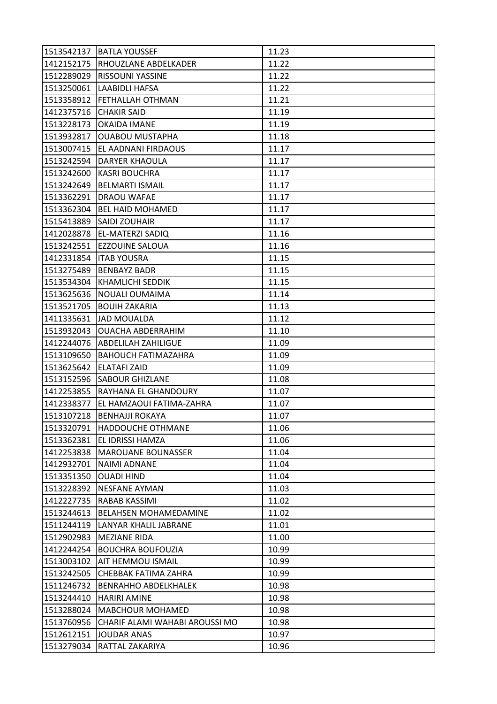|            | 1513542137   BATLA YOUSSEF       | 11.23 |
|------------|----------------------------------|-------|
|            | 1412152175  RHOUZLANE ABDELKADER | 11.22 |
| 1512289029 | <b>RISSOUNI YASSINE</b>          | 11.22 |
| 1513250061 | <b>LAABIDLI HAFSA</b>            | 11.22 |
| 1513358912 | <b>FETHALLAH OTHMAN</b>          | 11.21 |
| 1412375716 | <b>CHAKIR SAID</b>               | 11.19 |
| 1513228173 | <b>OKAIDA IMANE</b>              | 11.19 |
| 1513932817 | <b>OUABOU MUSTAPHA</b>           | 11.18 |
| 1513007415 | EL AADNANI FIRDAOUS              | 11.17 |
| 1513242594 | DARYER KHAOULA                   | 11.17 |
| 1513242600 | <b>KASRI BOUCHRA</b>             | 11.17 |
| 1513242649 | <b>BELMARTI ISMAIL</b>           | 11.17 |
| 1513362291 | DRAOU WAFAE                      | 11.17 |
| 1513362304 | <b>BEL HAID MOHAMED</b>          | 11.17 |
| 1515413889 | <b>SAIDI ZOUHAIR</b>             | 11.17 |
|            | 1412028878 EL-MATERZI SADIQ      | 11.16 |
| 1513242551 | <b>EZZOUINE SALOUA</b>           | 11.16 |
| 1412331854 | <b>ITAB YOUSRA</b>               | 11.15 |
| 1513275489 | <b>BENBAYZ BADR</b>              | 11.15 |
| 1513534304 | KHAMLICHI SEDDIK                 | 11.15 |
| 1513625636 | <b>NOUALI OUMAIMA</b>            | 11.14 |
| 1513521705 | <b>BOUIH ZAKARIA</b>             | 11.13 |
| 1411335631 | <b>JAD MOUALDA</b>               | 11.12 |
| 1513932043 | <b>OUACHA ABDERRAHIM</b>         | 11.10 |
| 1412244076 | ABDELILAH ZAHILIGUE              | 11.09 |
| 1513109650 | <b>BAHOUCH FATIMAZAHRA</b>       | 11.09 |
| 1513625642 | <b>ELATAFI ZAID</b>              | 11.09 |
| 1513152596 | <b>SABOUR GHIZLANE</b>           | 11.08 |
| 1412253855 | RAYHANA EL GHANDOURY             | 11.07 |
| 1412338377 | EL HAMZAOUI FATIMA-ZAHRA         | 11.07 |
| 1513107218 | <b>BENHAJJI ROKAYA</b>           | 11.07 |
| 1513320791 | HADDOUCHE OTHMANE                | 11.06 |
| 1513362381 | EL IDRISSI HAMZA                 | 11.06 |
| 1412253838 | <b>MAROUANE BOUNASSER</b>        | 11.04 |
| 1412932701 | <b>NAIMI ADNANE</b>              | 11.04 |
| 1513351350 | <b>OUADI HIND</b>                | 11.04 |
| 1513228392 | <b>NESFANE AYMAN</b>             | 11.03 |
| 1412227735 | RABAB KASSIMI                    | 11.02 |
| 1513244613 | BELAHSEN MOHAMEDAMINE            | 11.02 |
| 1511244119 | LANYAR KHALIL JABRANE            | 11.01 |
| 1512902983 | <b>MEZIANE RIDA</b>              | 11.00 |
| 1412244254 | <b>BOUCHRA BOUFOUZIA</b>         | 10.99 |
| 1513003102 | <b>AIT HEMMOU ISMAIL</b>         | 10.99 |
| 1513242505 | CHEBBAK FATIMA ZAHRA             | 10.99 |
| 1511246732 | <b>BENRAHHO ABDELKHALEK</b>      | 10.98 |
| 1513244410 | <b>HARIRI AMINE</b>              | 10.98 |
| 1513288024 | <b>MABCHOUR MOHAMED</b>          | 10.98 |
| 1513760956 | CHARIF ALAMI WAHABI AROUSSI MO   | 10.98 |
| 1512612151 | <b>JOUDAR ANAS</b>               | 10.97 |
| 1513279034 | RATTAL ZAKARIYA                  | 10.96 |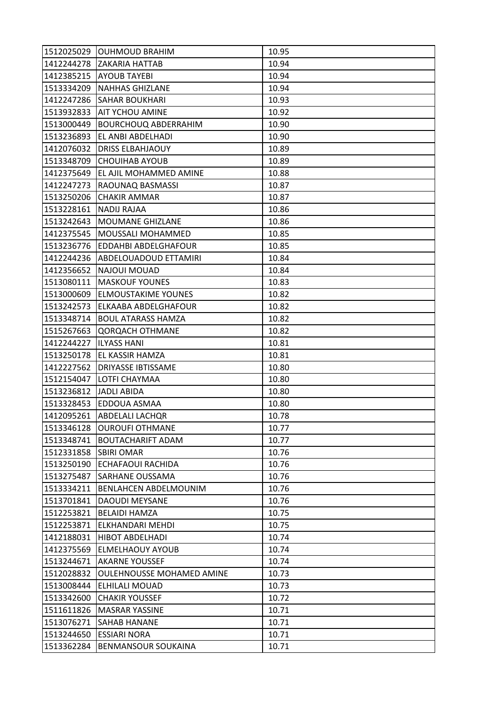|            | 1512025029 OUHMOUD BRAHIM        | 10.95 |
|------------|----------------------------------|-------|
|            | 1412244278 ZAKARIA HATTAB        | 10.94 |
|            | 1412385215 AYOUB TAYEBI          | 10.94 |
| 1513334209 | <b>NAHHAS GHIZLANE</b>           | 10.94 |
| 1412247286 | <b>SAHAR BOUKHARI</b>            | 10.93 |
| 1513932833 | AIT YCHOU AMINE                  | 10.92 |
| 1513000449 | <b>BOURCHOUQ ABDERRAHIM</b>      | 10.90 |
| 1513236893 | EL ANBI ABDELHADI                | 10.90 |
| 1412076032 | <b>DRISS ELBAHJAOUY</b>          | 10.89 |
| 1513348709 | <b>CHOUIHAB AYOUB</b>            | 10.89 |
| 1412375649 | EL AJIL MOHAMMED AMINE           | 10.88 |
| 1412247273 | RAOUNAQ BASMASSI                 | 10.87 |
| 1513250206 | <b>CHAKIR AMMAR</b>              | 10.87 |
| 1513228161 | <b>NADIJ RAJAA</b>               | 10.86 |
| 1513242643 | MOUMANE GHIZLANE                 | 10.86 |
| 1412375545 | MOUSSALI MOHAMMED                | 10.85 |
| 1513236776 | <b>EDDAHBI ABDELGHAFOUR</b>      | 10.85 |
| 1412244236 | ABDELOUADOUD ETTAMIRI            | 10.84 |
| 1412356652 | NAJOUI MOUAD                     | 10.84 |
| 1513080111 | <b>MASKOUF YOUNES</b>            | 10.83 |
| 1513000609 | <b>ELMOUSTAKIME YOUNES</b>       | 10.82 |
| 1513242573 | ELKAABA ABDELGHAFOUR             | 10.82 |
| 1513348714 | <b>BOUL ATARASS HAMZA</b>        | 10.82 |
| 1515267663 | <b>QORQACH OTHMANE</b>           | 10.82 |
| 1412244227 | <b>ILYASS HANI</b>               | 10.81 |
| 1513250178 | <b>EL KASSIR HAMZA</b>           | 10.81 |
| 1412227562 | DRIYASSE IBTISSAME               | 10.80 |
| 1512154047 | LOTFI CHAYMAA                    | 10.80 |
| 1513236812 | <b>JADLI ABIDA</b>               | 10.80 |
| 1513328453 | EDDOUA ASMAA                     | 10.80 |
| 1412095261 | <b>ABDELALI LACHQR</b>           | 10.78 |
|            | 1513346128 OUROUFI OTHMANE       | 10.77 |
| 1513348741 | <b>BOUTACHARIFT ADAM</b>         | 10.77 |
| 1512331858 | <b>SBIRI OMAR</b>                | 10.76 |
| 1513250190 | <b>ECHAFAOUI RACHIDA</b>         | 10.76 |
| 1513275487 | SARHANE OUSSAMA                  | 10.76 |
| 1513334211 | <b>BENLAHCEN ABDELMOUNIM</b>     | 10.76 |
| 1513701841 | <b>DAOUDI MEYSANE</b>            | 10.76 |
| 1512253821 | <b>BELAIDI HAMZA</b>             | 10.75 |
| 1512253871 | ELKHANDARI MEHDI                 | 10.75 |
| 1412188031 | <b>HIBOT ABDELHADI</b>           | 10.74 |
| 1412375569 | <b>ELMELHAOUY AYOUB</b>          | 10.74 |
| 1513244671 | <b>AKARNE YOUSSEF</b>            | 10.74 |
| 1512028832 | <b>OULEHNOUSSE MOHAMED AMINE</b> | 10.73 |
| 1513008444 | ELHILALI MOUAD                   | 10.73 |
| 1513342600 | <b>CHAKIR YOUSSEF</b>            | 10.72 |
| 1511611826 | <b>MASRAR YASSINE</b>            | 10.71 |
| 1513076271 | SAHAB HANANE                     | 10.71 |
| 1513244650 | <b>ESSIARI NORA</b>              | 10.71 |
| 1513362284 | BENMANSOUR SOUKAINA              | 10.71 |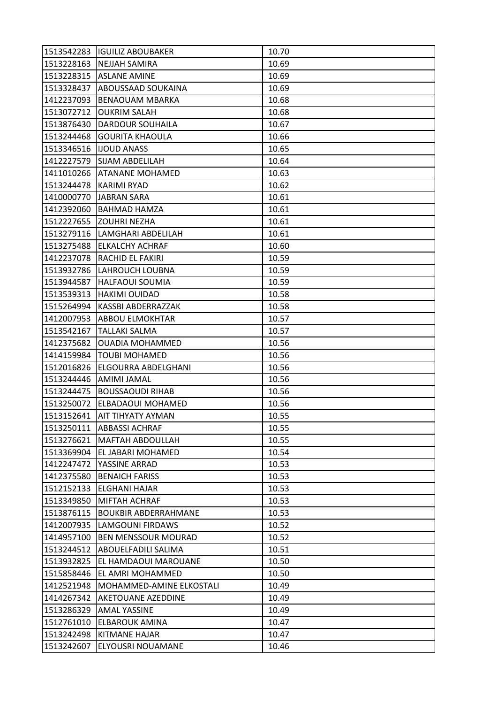|            | 1513542283   IGUILIZ ABOUBAKER | 10.70 |
|------------|--------------------------------|-------|
| 1513228163 | <b>NEJJAH SAMIRA</b>           | 10.69 |
| 1513228315 | <b>ASLANE AMINE</b>            | 10.69 |
| 1513328437 | ABOUSSAAD SOUKAINA             | 10.69 |
| 1412237093 | <b>BENAOUAM MBARKA</b>         | 10.68 |
| 1513072712 | <b>OUKRIM SALAH</b>            | 10.68 |
| 1513876430 | <b>DARDOUR SOUHAILA</b>        | 10.67 |
| 1513244468 | <b>GOURITA KHAOULA</b>         | 10.66 |
| 1513346516 | <b>IJOUD ANASS</b>             | 10.65 |
| 1412227579 | <b>SIJAM ABDELILAH</b>         | 10.64 |
| 1411010266 | <b>ATANANE MOHAMED</b>         | 10.63 |
| 1513244478 | KARIMI RYAD                    | 10.62 |
| 1410000770 | <b>JABRAN SARA</b>             | 10.61 |
| 1412392060 | <b>BAHMAD HAMZA</b>            | 10.61 |
| 1512227655 | <b>ZOUHRI NEZHA</b>            | 10.61 |
| 1513279116 | LAMGHARI ABDELILAH             | 10.61 |
| 1513275488 | <b>ELKALCHY ACHRAF</b>         | 10.60 |
| 1412237078 | RACHID EL FAKIRI               | 10.59 |
| 1513932786 | LAHROUCH LOUBNA                | 10.59 |
| 1513944587 | <b>HALFAOUI SOUMIA</b>         | 10.59 |
| 1513539313 | <b>HAKIMI OUIDAD</b>           | 10.58 |
| 1515264994 | KASSBI ABDERRAZZAK             | 10.58 |
| 1412007953 | <b>ABBOU ELMOKHTAR</b>         | 10.57 |
| 1513542167 | <b>TALLAKI SALMA</b>           | 10.57 |
| 1412375682 | <b>OUADIA MOHAMMED</b>         | 10.56 |
| 1414159984 | <b>TOUBI MOHAMED</b>           | 10.56 |
| 1512016826 | ELGOURRA ABDELGHANI            | 10.56 |
| 1513244446 | <b>AMIMI JAMAL</b>             | 10.56 |
| 1513244475 | <b>BOUSSAOUDI RIHAB</b>        | 10.56 |
| 1513250072 | ELBADAOUI MOHAMED              | 10.56 |
| 1513152641 | AIT TIHYATY AYMAN              | 10.55 |
| 1513250111 | <b>ABBASSI ACHRAF</b>          | 10.55 |
| 1513276621 | <b>MAFTAH ABDOULLAH</b>        | 10.55 |
| 1513369904 | EL JABARI MOHAMED              | 10.54 |
| 1412247472 | YASSINE ARRAD                  | 10.53 |
| 1412375580 | <b>BENAICH FARISS</b>          | 10.53 |
| 1512152133 | <b>ELGHANI HAJAR</b>           | 10.53 |
| 1513349850 | MIFTAH ACHRAF                  | 10.53 |
| 1513876115 | <b>BOUKBIR ABDERRAHMANE</b>    | 10.53 |
| 1412007935 | <b>LAMGOUNI FIRDAWS</b>        | 10.52 |
| 1414957100 | <b>BEN MENSSOUR MOURAD</b>     | 10.52 |
| 1513244512 | ABOUELFADILI SALIMA            | 10.51 |
| 1513932825 | EL HAMDAOUI MAROUANE           | 10.50 |
| 1515858446 | EL AMRI MOHAMMED               | 10.50 |
| 1412521948 | MOHAMMED-AMINE ELKOSTALI       | 10.49 |
| 1414267342 | AKETOUANE AZEDDINE             | 10.49 |
| 1513286329 | <b>AMAL YASSINE</b>            | 10.49 |
| 1512761010 | <b>ELBAROUK AMINA</b>          | 10.47 |
| 1513242498 | <b>KITMANE HAJAR</b>           | 10.47 |
| 1513242607 | ELYOUSRI NOUAMANE              | 10.46 |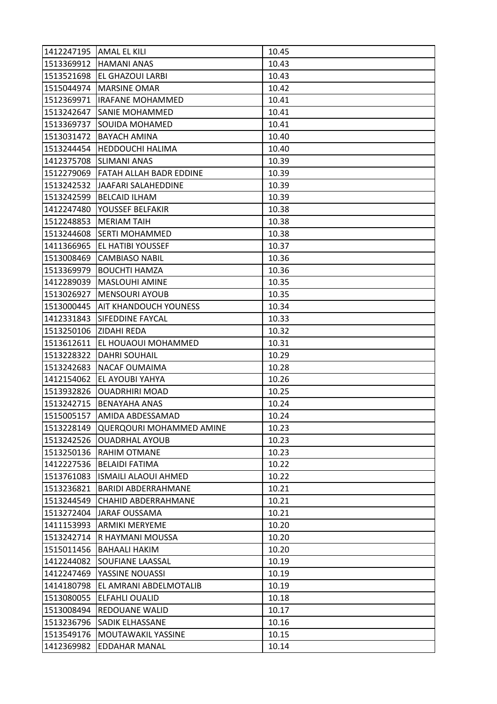| 1412247195 AMAL EL KILI |                             | 10.45 |
|-------------------------|-----------------------------|-------|
| 1513369912              | <b>HAMANI ANAS</b>          | 10.43 |
| 1513521698              | EL GHAZOUI LARBI            | 10.43 |
| 1515044974              | <b>MARSINE OMAR</b>         | 10.42 |
| 1512369971              | <b>IRAFANE MOHAMMED</b>     | 10.41 |
| 1513242647              | SANIE MOHAMMED              | 10.41 |
| 1513369737              | SOUIDA MOHAMED              | 10.41 |
| 1513031472              | <b>BAYACH AMINA</b>         | 10.40 |
| 1513244454              | HEDDOUCHI HALIMA            | 10.40 |
| 1412375708              | <b>SLIMANI ANAS</b>         | 10.39 |
| 1512279069              | FATAH ALLAH BADR EDDINE     | 10.39 |
| 1513242532              | JAAFARI SALAHEDDINE         | 10.39 |
| 1513242599              | <b>BELCAID ILHAM</b>        | 10.39 |
| 1412247480              | YOUSSEF BELFAKIR            | 10.38 |
| 1512248853              | <b>MERIAM TAIH</b>          | 10.38 |
| 1513244608              | <b>SERTI MOHAMMED</b>       | 10.38 |
| 1411366965              | EL HATIBI YOUSSEF           | 10.37 |
| 1513008469              | <b>CAMBIASO NABIL</b>       | 10.36 |
| 1513369979              | <b>BOUCHTI HAMZA</b>        | 10.36 |
| 1412289039              | MASLOUHI AMINE              | 10.35 |
| 1513026927              | <b>MENSOURI AYOUB</b>       | 10.35 |
| 1513000445              | AIT KHANDOUCH YOUNESS       | 10.34 |
| 1412331843              | SIFEDDINE FAYCAL            | 10.33 |
| 1513250106              | <b>ZIDAHI REDA</b>          | 10.32 |
| 1513612611              | EL HOUAOUI MOHAMMED         | 10.31 |
| 1513228322              | DAHRI SOUHAIL               | 10.29 |
| 1513242683              | <b>NACAF OUMAIMA</b>        | 10.28 |
| 1412154062              | EL AYOUBI YAHYA             | 10.26 |
| 1513932826              | <b>OUADRHIRI MOAD</b>       | 10.25 |
| 1513242715              | <b>BENAYAHA ANAS</b>        | 10.24 |
| 1515005157              | AMIDA ABDESSAMAD            | 10.24 |
| 1513228149              | QUERQOURI MOHAMMED AMINE    | 10.23 |
| 1513242526              | <b>OUADRHAL AYOUB</b>       | 10.23 |
| 1513250136              | <b>RAHIM OTMANE</b>         | 10.23 |
| 1412227536              | <b>BELAIDI FATIMA</b>       | 10.22 |
| 1513761083              | <b>ISMAILI ALAOUI AHMED</b> | 10.22 |
| 1513236821              | <b>BARIDI ABDERRAHMANE</b>  | 10.21 |
| 1513244549              | <b>CHAHID ABDERRAHMANE</b>  | 10.21 |
| 1513272404              | <b>JARAF OUSSAMA</b>        | 10.21 |
| 1411153993              | <b>ARMIKI MERYEME</b>       | 10.20 |
| 1513242714              | R HAYMANI MOUSSA            | 10.20 |
| 1515011456              | <b>BAHAALI HAKIM</b>        | 10.20 |
| 1412244082              | <b>SOUFIANE LAASSAL</b>     | 10.19 |
| 1412247469              | YASSINE NOUASSI             | 10.19 |
| 1414180798              | EL AMRANI ABDELMOTALIB      | 10.19 |
| 1513080055              | ELFAHLI OUALID              | 10.18 |
| 1513008494              | REDOUANE WALID              | 10.17 |
| 1513236796              | <b>SADIK ELHASSANE</b>      | 10.16 |
| 1513549176              | MOUTAWAKIL YASSINE          | 10.15 |
| 1412369982              | EDDAHAR MANAL               | 10.14 |